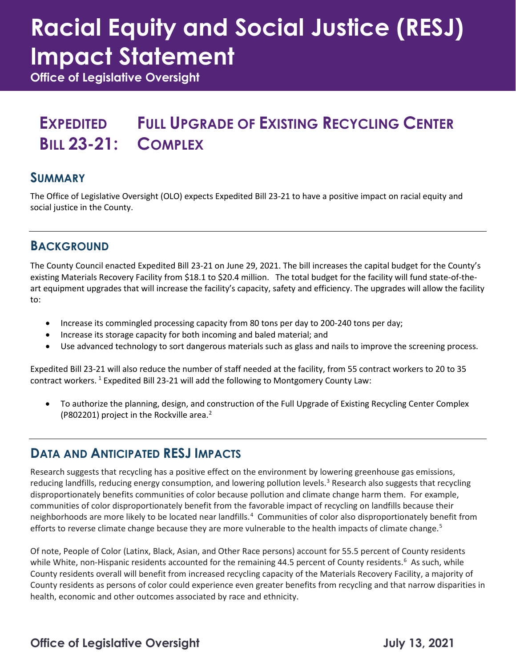# **Racial Equity and Social Justice (RESJ) Impact Statement**

**Office of Legislative Oversight**

#### **EXPEDITED BILL 23-21: COMPLEX FULL UPGRADE OF EXISTING RECYCLING CENTER**

#### **SUMMARY**

The Office of Legislative Oversight (OLO) expects Expedited Bill 23-21 to have a positive impact on racial equity and social justice in the County.

### **BACKGROUND**

The County Council enacted Expedited Bill 23-21 on June 29, 2021. The bill increases the capital budget for the County's existing Materials Recovery Facility from \$18.1 to \$20.4 million. The total budget for the facility will fund state-of-theart equipment upgrades that will increase the facility's capacity, safety and efficiency. The upgrades will allow the facility to:

- Increase its commingled processing capacity from 80 tons per day to 200-240 tons per day;
- Increase its storage capacity for both incoming and baled material; and
- Use advanced technology to sort dangerous materials such as glass and nails to improve the screening process.

Expedited Bill 23-21 will also reduce the number of staff needed at the facility, from 55 contract workers to 20 to 35 contract workers. [1](#page-1-0) Expedited Bill 23-21 will add the following to Montgomery County Law:

• To authorize the planning, design, and construction of the Full Upgrade of Existing Recycling Center Complex (P802201) project in the Rockville area. [2](#page-1-1)

#### **DATA AND ANTICIPATED RESJ IMPACTS**

Research suggests that recycling has a positive effect on the environment by lowering greenhouse gas emissions, reducing landfills, reducing energy consumption, and lowering pollution levels.<sup>[3](#page-1-2)</sup> Research also suggests that recycling disproportionately benefits communities of color because pollution and climate change harm them. For example, communities of color disproportionately benefit from the favorable impact of recycling on landfills because their neighborhoods are more likely to be located near landfills.<sup>[4](#page-1-3)</sup> Communities of color also disproportionately benefit from efforts to reverse climate change because they are more vulnerable to the health impacts of climate change.<sup>[5](#page-1-4)</sup>

Of note, People of Color (Latinx, Black, Asian, and Other Race persons) account for 55.5 percent of County residents while White, non-Hispanic residents accounted for the remaining 44.5 percent of County residents.<sup>[6](#page-1-5)</sup> As such, while County residents overall will benefit from increased recycling capacity of the Materials Recovery Facility, a majority of County residents as persons of color could experience even greater benefits from recycling and that narrow disparities in health, economic and other outcomes associated by race and ethnicity.

#### **Office of Legislative Oversight Community Community Community Community Community Community Community Community Community Community Community Community Community Community Community Community Community Community Community**